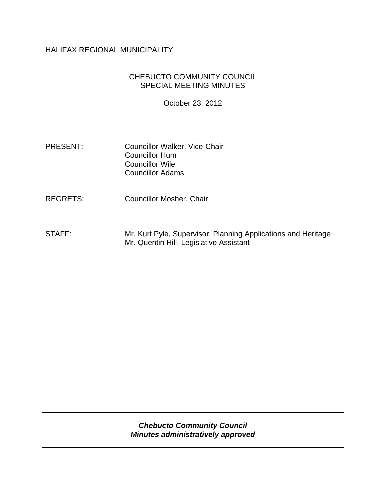## HALIFAX REGIONAL MUNICIPALITY

# CHEBUCTO COMMUNITY COUNCIL SPECIAL MEETING MINUTES

October 23, 2012

PRESENT: Councillor Walker, Vice-Chair Councillor Hum Councillor Wile Councillor Adams

REGRETS: Councillor Mosher, Chair

STAFF: Mr. Kurt Pyle, Supervisor, Planning Applications and Heritage Mr. Quentin Hill, Legislative Assistant

> *Chebucto Community Council Minutes administratively approved*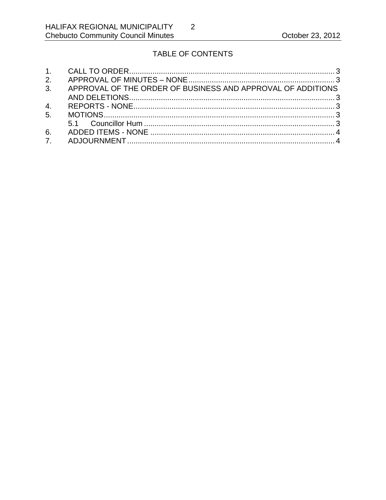# TABLE OF CONTENTS

 $\overline{2}$ 

| 3. APPROVAL OF THE ORDER OF BUSINESS AND APPROVAL OF ADDITIONS |  |
|----------------------------------------------------------------|--|
|                                                                |  |
|                                                                |  |
|                                                                |  |
|                                                                |  |
|                                                                |  |
|                                                                |  |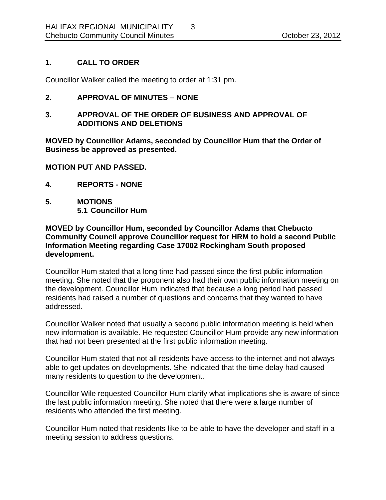# **1. CALL TO ORDER**

Councillor Walker called the meeting to order at 1:31 pm.

## **2. APPROVAL OF MINUTES – NONE**

## **3. APPROVAL OF THE ORDER OF BUSINESS AND APPROVAL OF ADDITIONS AND DELETIONS**

**MOVED by Councillor Adams, seconded by Councillor Hum that the Order of Business be approved as presented.** 

#### **MOTION PUT AND PASSED.**

- **4. REPORTS NONE**
- **5. MOTIONS 5.1 Councillor Hum**

## **MOVED by Councillor Hum, seconded by Councillor Adams that Chebucto Community Council approve Councillor request for HRM to hold a second Public Information Meeting regarding Case 17002 Rockingham South proposed development.**

Councillor Hum stated that a long time had passed since the first public information meeting. She noted that the proponent also had their own public information meeting on the development. Councillor Hum indicated that because a long period had passed residents had raised a number of questions and concerns that they wanted to have addressed.

Councillor Walker noted that usually a second public information meeting is held when new information is available. He requested Councillor Hum provide any new information that had not been presented at the first public information meeting.

Councillor Hum stated that not all residents have access to the internet and not always able to get updates on developments. She indicated that the time delay had caused many residents to question to the development.

Councillor Wile requested Councillor Hum clarify what implications she is aware of since the last public information meeting. She noted that there were a large number of residents who attended the first meeting.

Councillor Hum noted that residents like to be able to have the developer and staff in a meeting session to address questions.